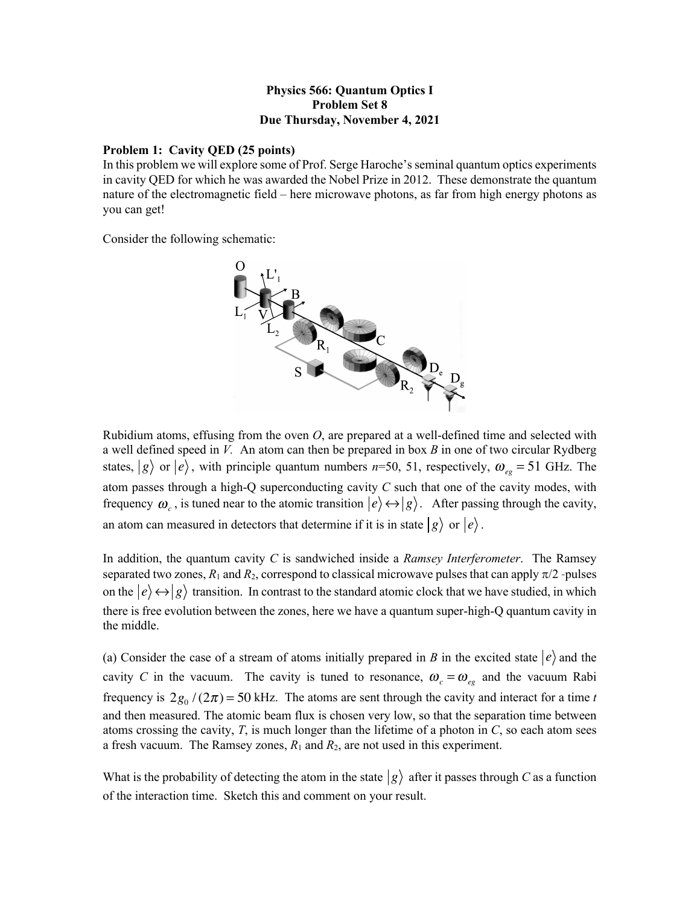## **Physics 566: Quantum Optics I Problem Set 8 Due Thursday, November 4, 2021**

## **Problem 1: Cavity QED (25 points)**

In this problem we will explore some of Prof. Serge Haroche's seminal quantum optics experiments in cavity QED for which he was awarded the Nobel Prize in 2012. These demonstrate the quantum nature of the electromagnetic field – here microwave photons, as far from high energy photons as you can get!

Consider the following schematic:



Rubidium atoms, effusing from the oven *O*, are prepared at a well-defined time and selected with a well defined speed in *V.* An atom can then be prepared in box *B* in one of two circular Rydberg states,  $|g\rangle$  or  $|e\rangle$ , with principle quantum numbers *n*=50, 51, respectively,  $\omega_{eg}$  = 51 GHz. The atom passes through a high-Q superconducting cavity *C* such that one of the cavity modes, with frequency  $\omega_c$ , is tuned near to the atomic transition  $|e\rangle \leftrightarrow |g\rangle$ . After passing through the cavity, an atom can measured in detectors that determine if it is in state  $|g\rangle$  or  $|e\rangle$ .

In addition, the quantum cavity *C* is sandwiched inside a *Ramsey Interferometer*. The Ramsey separated two zones,  $R_1$  and  $R_2$ , correspond to classical microwave pulses that can apply  $\pi/2$ -pulses on the  $\ket{e} \leftrightarrow \ket{g}$  transition. In contrast to the standard atomic clock that we have studied, in which there is free evolution between the zones, here we have a quantum super-high-Q quantum cavity in the middle.

(a) Consider the case of a stream of atoms initially prepared in *B* in the excited state  $|e\rangle$  and the cavity *C* in the vacuum. The cavity is tuned to resonance,  $\omega_c = \omega_{eg}$  and the vacuum Rabi frequency is  $2g_0 / (2\pi) = 50$  kHz. The atoms are sent through the cavity and interact for a time *t* and then measured. The atomic beam flux is chosen very low, so that the separation time between atoms crossing the cavity, *T*, is much longer than the lifetime of a photon in *C*, so each atom sees a fresh vacuum. The Ramsey zones,  $R_1$  and  $R_2$ , are not used in this experiment.

What is the probability of detecting the atom in the state  $|g\rangle$  after it passes through *C* as a function of the interaction time. Sketch this and comment on your result.